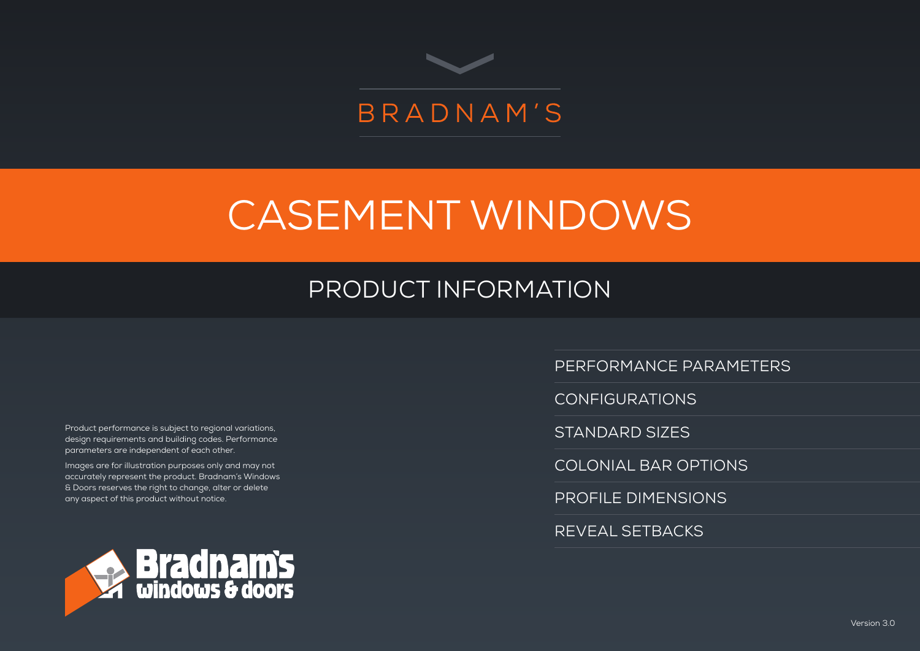

# CASEMENT WINDOWS

# PRODUCT INFORMATION

Product performance is subject to regional variations, design requirements and building codes. Performance parameters are independent of each other.

Images are for illustration purposes only and may not accurately represent the product. Bradnam's Windows & Doors reserves the right to change, alter or delete any aspect of this product without notice.



PERFORMANCE PARAMETERS

CONFIGURATIONS

STANDARD SIZES

COLONIAL BAR OPTIONS

PROFILE DIMENSIONS

REVEAL SETBACKS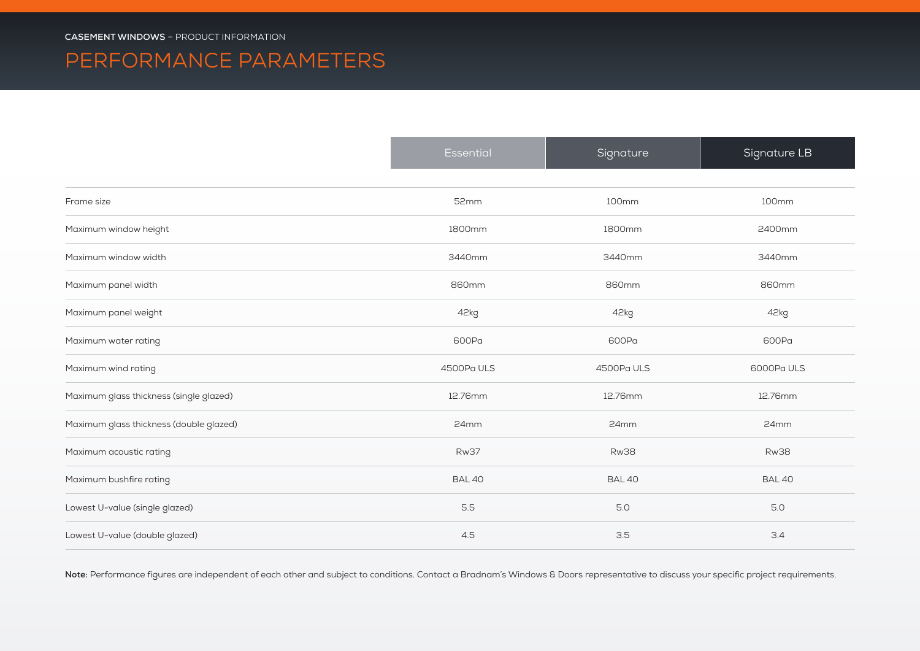### PERFORMANCE PARAMETERS

|                                         | Essential     | Signature     | Signature LB  |
|-----------------------------------------|---------------|---------------|---------------|
| Frame size                              | 52mm          | 100mm         | 100mm         |
| Maximum window height                   | 1800mm        | 1800mm        | 2400mm        |
| Maximum window width                    | 3440mm        | 3440mm        | 3440mm        |
| Maximum panel width                     | 860mm         | 860mm         | 860mm         |
| Maximum panel weight                    | 42kg          | 42kg          | 42kg          |
| Maximum water rating                    | 600Pa         | 600Pa         | 600Pa         |
| Maximum wind rating                     | 4500Pa ULS    | 4500Pa ULS    | 6000PaULS     |
| Maximum glass thickness (single glazed) | 12.76mm       | 12.76mm       | 12.76mm       |
| Maximum glass thickness (double glazed) | 24mm          | 24mm          | 24mm          |
| Maximum acoustic rating                 | <b>Rw37</b>   | <b>Rw38</b>   | <b>Rw38</b>   |
| Maximum bushfire rating                 | <b>BAL 40</b> | <b>BAL 40</b> | <b>BAL 40</b> |
| Lowest U-value (single glazed)          | 5.5           | 5.0           | 5.0           |
| Lowest U-value (double glazed)          | 4.5           | 3.5           | 3.4           |

Note: Performance figures are independent of each other and subject to conditions. Contact a Bradnam's Windows & Doors representative to discuss your specific project requirements.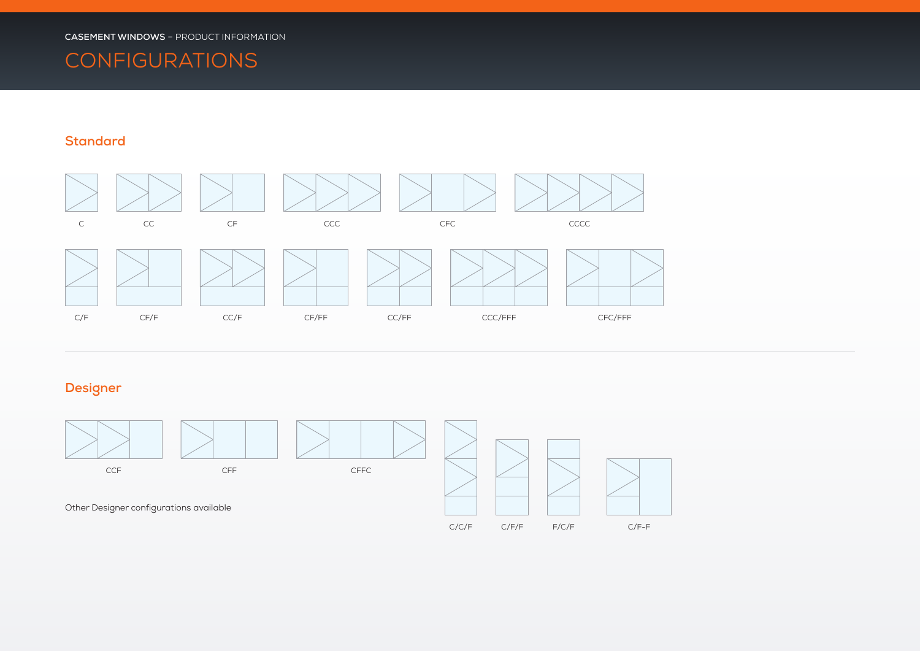### **CONFIGURATIONS**

#### **Standard**



#### **Designer**

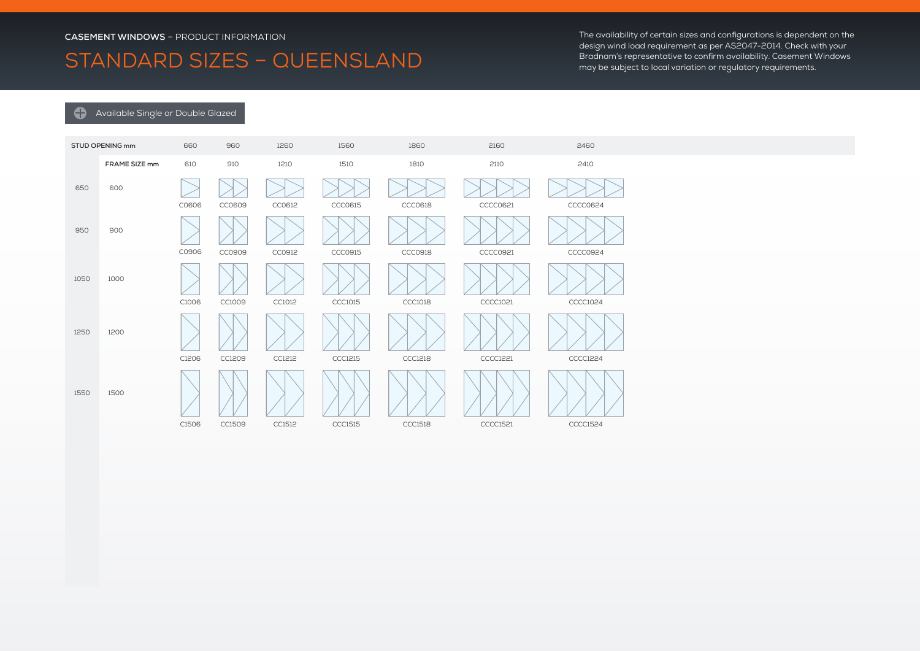### STANDARD SIZES – QUEENSLAND

The availability of certain sizes and configurations is dependent on the design wind load requirement as per AS2047-2014. Check with your Bradnam's representative to confirm availability. Casement Windows may be subject to local variation or regulatory requirements.

#### **Available Single or Double Glazed**

|      | STUD OPENING mm | 660   | 960    | 1260   | 1560           | 1860           | 2160            | 2460            |
|------|-----------------|-------|--------|--------|----------------|----------------|-----------------|-----------------|
|      | FRAME SIZE mm   | 610   | 910    | 1210   | 1510           | 1810           | 2110            | 2410            |
| 650  | 600             | C0606 | CC0609 | CC0612 | CCC0615        | CCC0618        | CCCC0621        | CCCC0624        |
| 950  | 900             | C0906 | CC0909 | CC0912 | CCC0915        | CCC0918        | CCCC0921        | <b>CCCC0924</b> |
| 1050 | 1000            | C1006 | CC1009 | CC1012 | <b>CCC1015</b> | <b>CCC1018</b> | CCCC1021        | CCCC1024        |
| 1250 | 1200            | C1206 | CC1209 | CC1212 | <b>CCC1215</b> | CCC1218        | CCCC1221        | CCCC1224        |
| 1550 | 1500            |       |        |        |                |                |                 |                 |
|      |                 | C1506 | CC1509 | CC1512 | <b>CCC1515</b> | <b>CCC1518</b> | <b>CCCC1521</b> | CCCC1524        |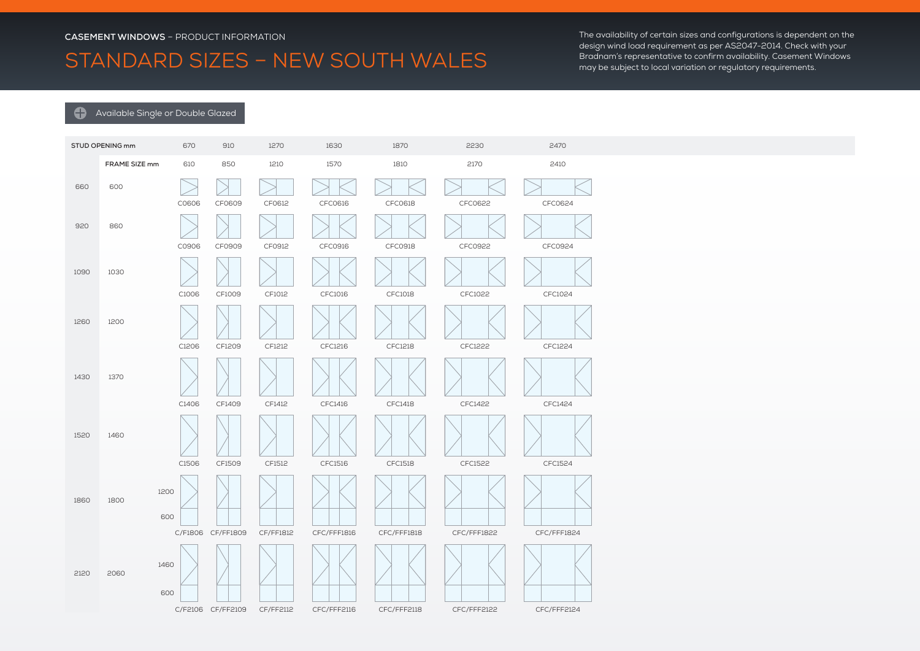### STANDARD SIZES – NEW SOUTH WALES

The availability of certain sizes and configurations is dependent on the design wind load requirement as per AS2047-2014. Check with your Bradnam's representative to confirm availability. Casement Windows may be subject to local variation or regulatory requirements.

#### **Available Single or Double Glazed**

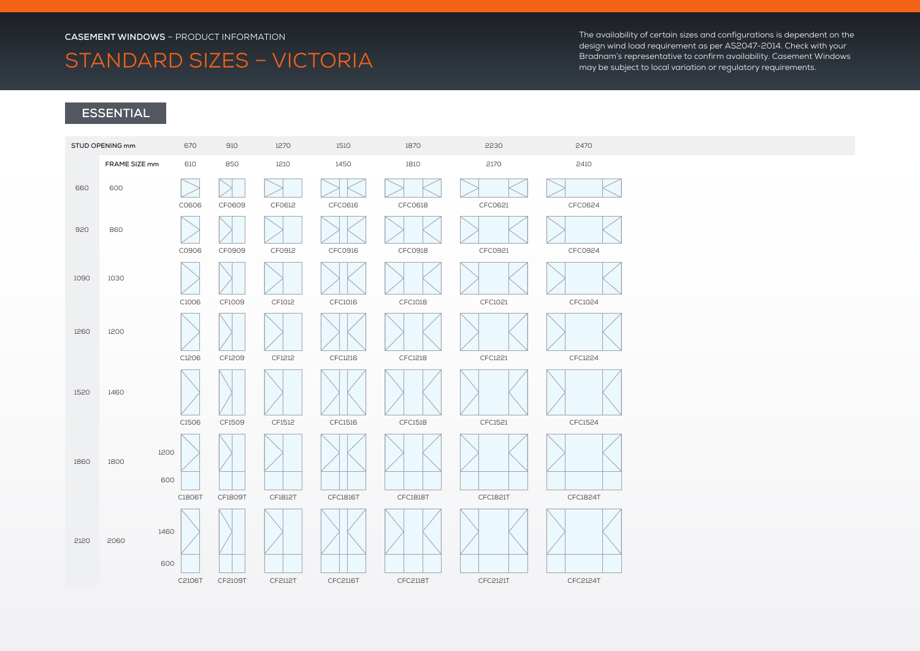### STANDARD SIZES – VICTORIA

The availability of certain sizes and configurations is dependent on the design wind load requirement as per AS2047-2014. Check with your Bradnam's representative to confirm availability. Casement Windows may be subject to local variation or regulatory requirements.

#### **ESSENTIAL**

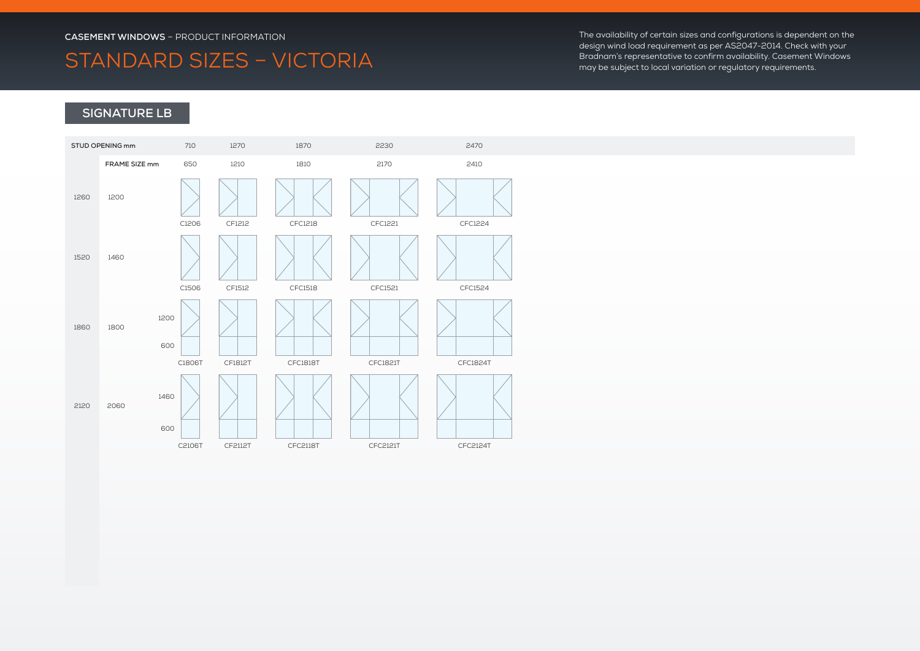### STANDARD SIZES – VICTORIA

The availability of certain sizes and configurations is dependent on the design wind load requirement as per AS2047-2014. Check with your Bradnam's representative to confirm availability. Casement Windows may be subject to local variation or regulatory requirements.

#### **SIGNATURE LB**

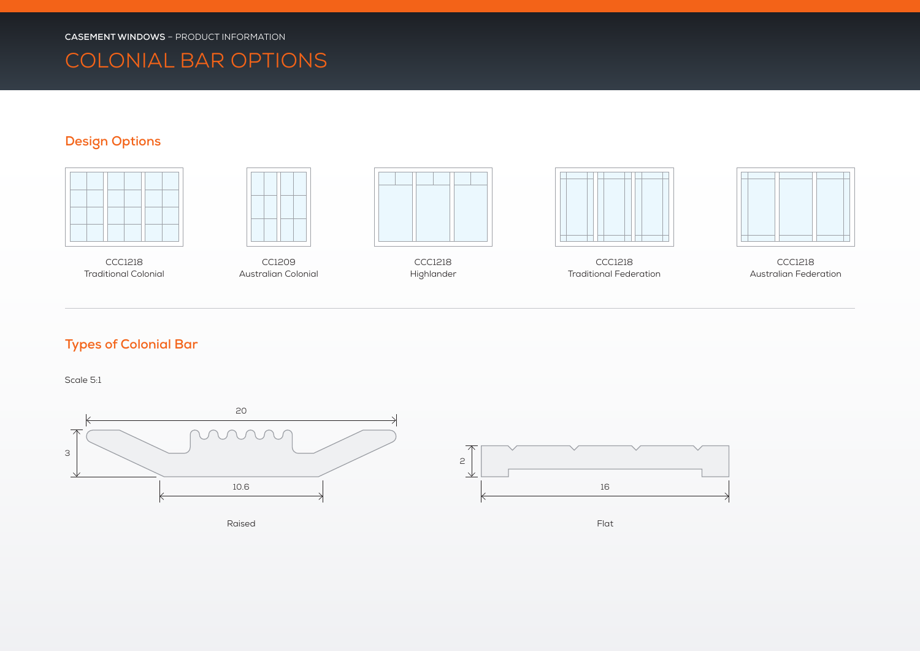### COLONIAL BAR OPTIONS

#### **Design Options**





CCC1218 Traditional Colonial

CC1209 Australian Colonial



CCC1218 Highlander



CCC1218 Traditional Federation



CCC1218 Australian Federation

#### **Types of Colonial Bar**

Scale 5:1



Raised

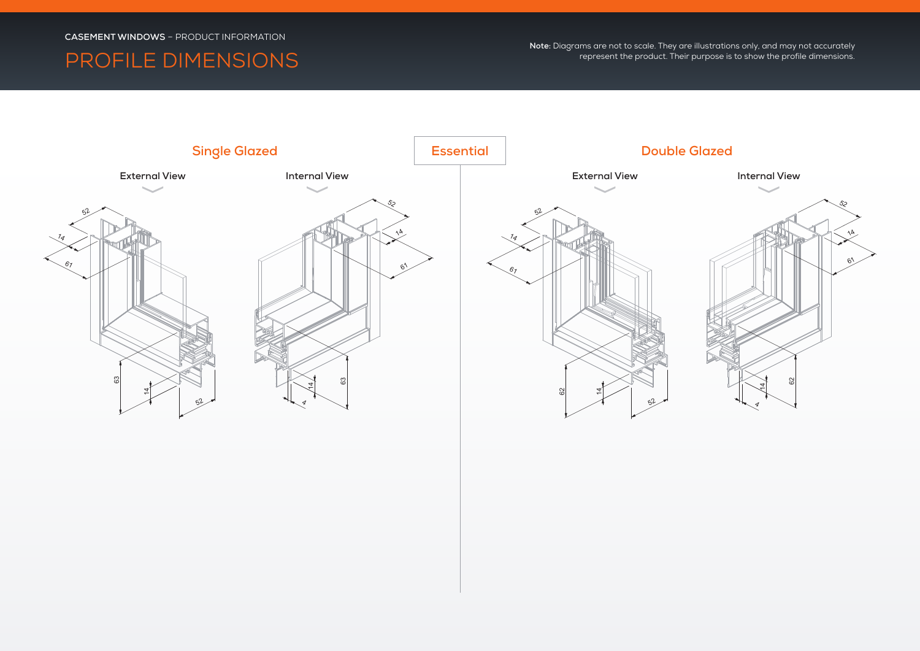### PROFILE DIMENSIONS

**Note:** Diagrams are not to scale. They are illustrations only, and may not accurately represent the product. Their purpose is to show the profile dimensions.

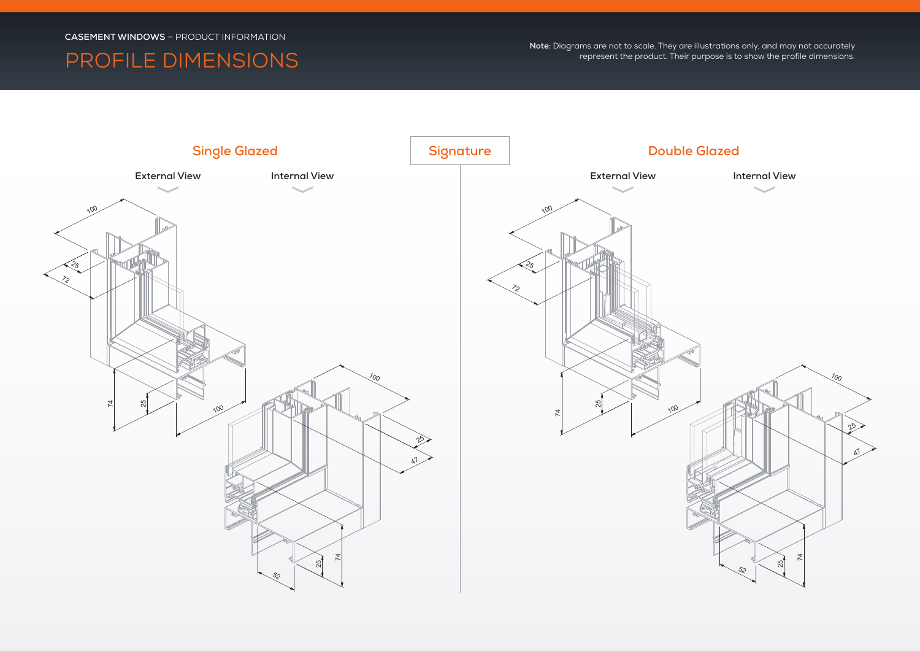### PROFILE DIMENSIONS

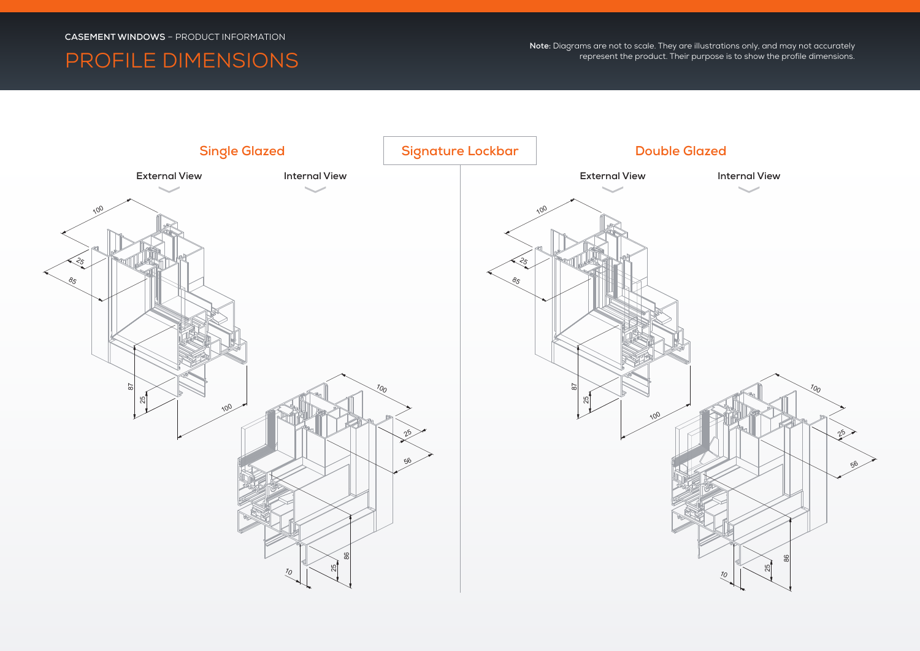### PROFILE DIMENSIONS